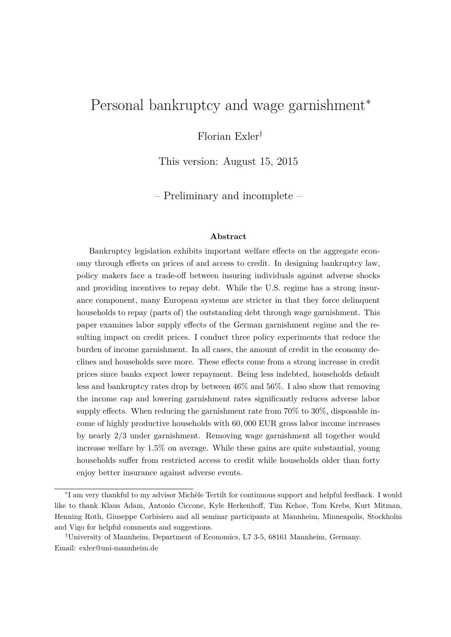# <span id="page-0-0"></span>Personal bankruptcy and wage garnishment<sup>∗</sup>

Florian Exler†

This version: August 15, 2015

– Preliminary and incomplete –

#### **Abstract**

Bankruptcy legislation exhibits important welfare effects on the aggregate economy through effects on prices of and access to credit. In designing bankruptcy law, policy makers face a trade-off between insuring individuals against adverse shocks and providing incentives to repay debt. While the U.S. regime has a strong insurance component, many European systems are stricter in that they force delinquent households to repay (parts of) the outstanding debt through wage garnishment. This paper examines labor supply effects of the German garnishment regime and the resulting impact on credit prices. I conduct three policy experiments that reduce the burden of income garnishment. In all cases, the amount of credit in the economy declines and households save more. These effects come from a strong increase in credit prices since banks expect lower repayment. Being less indebted, households default less and bankruptcy rates drop by between 46% and 56%. I also show that removing the income cap and lowering garnishment rates significantly reduces adverse labor supply effects. When reducing the garnishment rate from 70% to 30%, disposable income of highly productive households with 60*,* 000 EUR gross labor income increases by nearly 2*/*3 under garnishment. Removing wage garnishment all together would increase welfare by 1*.*5% on average. While these gains are quite substantial, young households suffer from restricted access to credit while households older than forty enjoy better insurance against adverse events.

<sup>∗</sup> I am very thankful to my advisor Michèle Tertilt for continuous support and helpful feedback. I would like to thank Klaus Adam, Antonio Ciccone, Kyle Herkenhoff, Tim Kehoe, Tom Krebs, Kurt Mitman, Henning Roth, Giuseppe Corbisiero and all seminar participants at Mannheim, Minneapolis, Stockholm and Vigo for helpful comments and suggestions.

<sup>†</sup>University of Mannheim, Department of Economics, L7 3-5, 68161 Mannheim, Germany. Email: [exler@uni-mannheim.de](mailto:exler@uni-mannheim.de)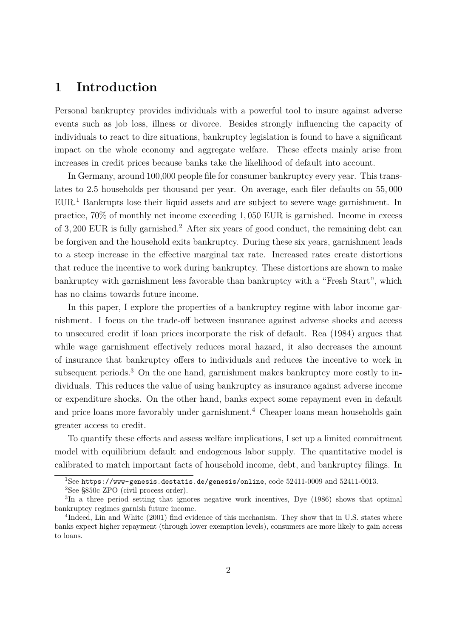### **1 Introduction**

Personal bankruptcy provides individuals with a powerful tool to insure against adverse events such as job loss, illness or divorce. Besides strongly influencing the capacity of individuals to react to dire situations, bankruptcy legislation is found to have a significant impact on the whole economy and aggregate welfare. These effects mainly arise from increases in credit prices because banks take the likelihood of default into account.

In Germany, around 100,000 people file for consumer bankruptcy every year. This translates to 2.5 households per thousand per year. On average, each filer defaults on 55*,* 000 EUR.[1](#page-0-0) Bankrupts lose their liquid assets and are subject to severe wage garnishment. In practice, 70% of monthly net income exceeding 1*,* 050 EUR is garnished. Income in excess of 3*,* 200 EUR is fully garnished.[2](#page-0-0) After six years of good conduct, the remaining debt can be forgiven and the household exits bankruptcy. During these six years, garnishment leads to a steep increase in the effective marginal tax rate. Increased rates create distortions that reduce the incentive to work during bankruptcy. These distortions are shown to make bankruptcy with garnishment less favorable than bankruptcy with a "Fresh Start", which has no claims towards future income.

In this paper, I explore the properties of a bankruptcy regime with labor income garnishment. I focus on the trade-off between insurance against adverse shocks and access to unsecured credit if loan prices incorporate the risk of default. Rea [\(1984\)](#page-25-0) argues that while wage garnishment effectively reduces moral hazard, it also decreases the amount of insurance that bankruptcy offers to individuals and reduces the incentive to work in subsequent periods.<sup>[3](#page-0-0)</sup> On the one hand, garnishment makes bankruptcy more costly to individuals. This reduces the value of using bankruptcy as insurance against adverse income or expenditure shocks. On the other hand, banks expect some repayment even in default and price loans more favorably under garnishment.<sup>[4](#page-0-0)</sup> Cheaper loans mean households gain greater access to credit.

To quantify these effects and assess welfare implications, I set up a limited commitment model with equilibrium default and endogenous labor supply. The quantitative model is calibrated to match important facts of household income, debt, and bankruptcy filings. In

 $1$ See <https://www-genesis.destatis.de/genesis/online>, code 52411-0009 and 52411-0013.

<sup>2</sup>See §850c ZPO (civil process order).

<sup>&</sup>lt;sup>3</sup>In a three period setting that ignores negative work incentives, Dye [\(1986\)](#page-24-0) shows that optimal bankruptcy regimes garnish future income.

<sup>&</sup>lt;sup>4</sup>Indeed, Lin and White [\(2001\)](#page-25-1) find evidence of this mechanism. They show that in U.S. states where banks expect higher repayment (through lower exemption levels), consumers are more likely to gain access to loans.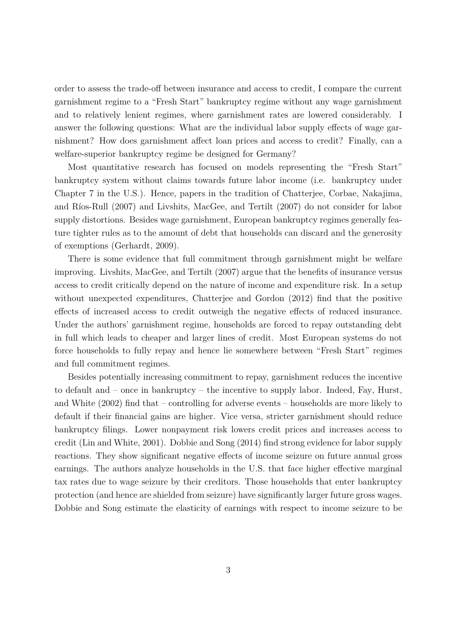order to assess the trade-off between insurance and access to credit, I compare the current garnishment regime to a "Fresh Start" bankruptcy regime without any wage garnishment and to relatively lenient regimes, where garnishment rates are lowered considerably. I answer the following questions: What are the individual labor supply effects of wage garnishment? How does garnishment affect loan prices and access to credit? Finally, can a welfare-superior bankruptcy regime be designed for Germany?

Most quantitative research has focused on models representing the "Fresh Start" bankruptcy system without claims towards future labor income (i.e. bankruptcy under Chapter 7 in the U.S.). Hence, papers in the tradition of Chatterjee, Corbae, Nakajima, and Ríos-Rull [\(2007\)](#page-24-1) and Livshits, MacGee, and Tertilt [\(2007\)](#page-25-2) do not consider for labor supply distortions. Besides wage garnishment, European bankruptcy regimes generally feature tighter rules as to the amount of debt that households can discard and the generosity of exemptions (Gerhardt, [2009\)](#page-24-2).

There is some evidence that full commitment through garnishment might be welfare improving. Livshits, MacGee, and Tertilt [\(2007\)](#page-25-2) argue that the benefits of insurance versus access to credit critically depend on the nature of income and expenditure risk. In a setup without unexpected expenditures, Chatterjee and Gordon [\(2012\)](#page-24-3) find that the positive effects of increased access to credit outweigh the negative effects of reduced insurance. Under the authors' garnishment regime, households are forced to repay outstanding debt in full which leads to cheaper and larger lines of credit. Most European systems do not force households to fully repay and hence lie somewhere between "Fresh Start" regimes and full commitment regimes.

Besides potentially increasing commitment to repay, garnishment reduces the incentive to default and – once in bankruptcy – the incentive to supply labor. Indeed, Fay, Hurst, and White [\(2002\)](#page-24-4) find that – controlling for adverse events – households are more likely to default if their financial gains are higher. Vice versa, stricter garnishment should reduce bankruptcy filings. Lower nonpayment risk lowers credit prices and increases access to credit (Lin and White, [2001\)](#page-25-1). Dobbie and Song [\(2014\)](#page-24-5) find strong evidence for labor supply reactions. They show significant negative effects of income seizure on future annual gross earnings. The authors analyze households in the U.S. that face higher effective marginal tax rates due to wage seizure by their creditors. Those households that enter bankruptcy protection (and hence are shielded from seizure) have significantly larger future gross wages. Dobbie and Song estimate the elasticity of earnings with respect to income seizure to be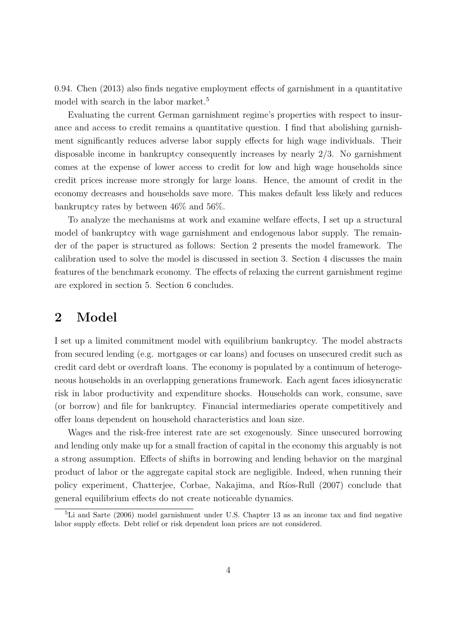0.94. Chen [\(2013\)](#page-24-6) also finds negative employment effects of garnishment in a quantitative model with search in the labor market.<sup>[5](#page-0-0)</sup>

Evaluating the current German garnishment regime's properties with respect to insurance and access to credit remains a quantitative question. I find that abolishing garnishment significantly reduces adverse labor supply effects for high wage individuals. Their disposable income in bankruptcy consequently increases by nearly 2*/*3. No garnishment comes at the expense of lower access to credit for low and high wage households since credit prices increase more strongly for large loans. Hence, the amount of credit in the economy decreases and households save more. This makes default less likely and reduces bankruptcy rates by between 46% and 56%.

To analyze the mechanisms at work and examine welfare effects, I set up a structural model of bankruptcy with wage garnishment and endogenous labor supply. The remainder of the paper is structured as follows: Section [2](#page-3-0) presents the model framework. The calibration used to solve the model is discussed in section [3.](#page-8-0) Section [4](#page-14-0) discusses the main features of the benchmark economy. The effects of relaxing the current garnishment regime are explored in section [5.](#page-17-0) Section [6](#page-23-0) concludes.

### <span id="page-3-0"></span>**2 Model**

I set up a limited commitment model with equilibrium bankruptcy. The model abstracts from secured lending (e.g. mortgages or car loans) and focuses on unsecured credit such as credit card debt or overdraft loans. The economy is populated by a continuum of heterogeneous households in an overlapping generations framework. Each agent faces idiosyncratic risk in labor productivity and expenditure shocks. Households can work, consume, save (or borrow) and file for bankruptcy. Financial intermediaries operate competitively and offer loans dependent on household characteristics and loan size.

Wages and the risk-free interest rate are set exogenously. Since unsecured borrowing and lending only make up for a small fraction of capital in the economy this arguably is not a strong assumption. Effects of shifts in borrowing and lending behavior on the marginal product of labor or the aggregate capital stock are negligible. Indeed, when running their policy experiment, Chatterjee, Corbae, Nakajima, and Ríos-Rull [\(2007\)](#page-24-1) conclude that general equilibrium effects do not create noticeable dynamics.

<sup>5</sup>Li and Sarte [\(2006\)](#page-25-3) model garnishment under U.S. Chapter 13 as an income tax and find negative labor supply effects. Debt relief or risk dependent loan prices are not considered.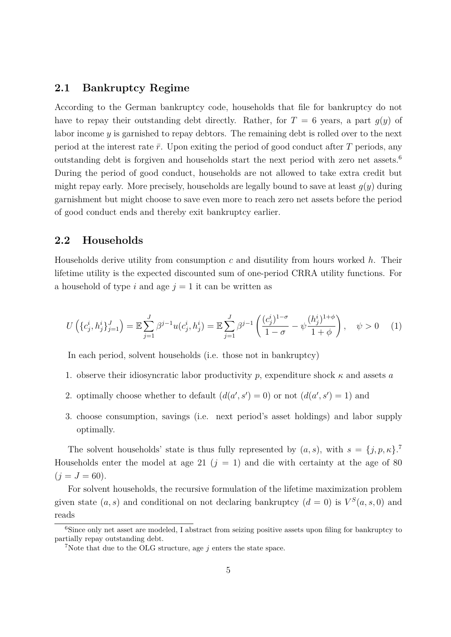#### **2.1 Bankruptcy Regime**

According to the German bankruptcy code, households that file for bankruptcy do not have to repay their outstanding debt directly. Rather, for  $T = 6$  years, a part  $g(y)$  of labor income *y* is garnished to repay debtors. The remaining debt is rolled over to the next period at the interest rate  $\bar{r}$ . Upon exiting the period of good conduct after  $\bar{T}$  periods, any outstanding debt is forgiven and households start the next period with zero net assets.[6](#page-0-0) During the period of good conduct, households are not allowed to take extra credit but might repay early. More precisely, households are legally bound to save at least  $q(y)$  during garnishment but might choose to save even more to reach zero net assets before the period of good conduct ends and thereby exit bankruptcy earlier.

#### **2.2 Households**

Households derive utility from consumption *c* and disutility from hours worked *h*. Their lifetime utility is the expected discounted sum of one-period CRRA utility functions. For a household of type *i* and age  $j = 1$  it can be written as

$$
U\left(\{c_j^i, h_j^i\}_{j=1}^J\right) = \mathbb{E}\sum_{j=1}^J \beta^{j-1} u(c_j^i, h_j^i) = \mathbb{E}\sum_{j=1}^J \beta^{j-1} \left(\frac{(c_j^i)^{1-\sigma}}{1-\sigma} - \psi \frac{(h_j^i)^{1+\phi}}{1+\phi}\right), \quad \psi > 0 \quad (1)
$$

In each period, solvent households (i.e. those not in bankruptcy)

- 1. observe their idiosyncratic labor productivity *p*, expenditure shock *κ* and assets *a*
- 2. optimally choose whether to default  $(d(a', s') = 0)$  or not  $(d(a', s') = 1)$  and
- 3. choose consumption, savings (i.e. next period's asset holdings) and labor supply optimally.

The solvent households' state is thus fully represented by  $(a, s)$ , with  $s = \{j, p, \kappa\}$ . Households enter the model at age 21 ( $j = 1$ ) and die with certainty at the age of 80  $(j = J = 60).$ 

For solvent households, the recursive formulation of the lifetime maximization problem given state  $(a, s)$  and conditional on not declaring bankruptcy  $(d = 0)$  is  $V^S(a, s, 0)$  and reads

 $6$ Since only net asset are modeled, I abstract from seizing positive assets upon filing for bankruptcy to partially repay outstanding debt.

<sup>&</sup>lt;sup>7</sup>Note that due to the OLG structure, age  $j$  enters the state space.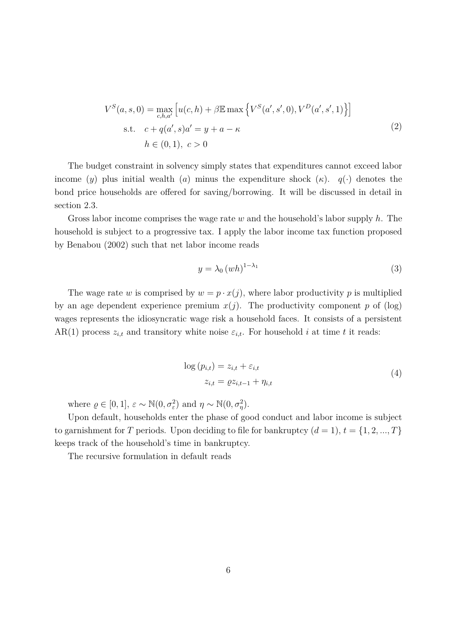$$
V^{S}(a, s, 0) = \max_{c, h, a'} [u(c, h) + \beta \mathbb{E} \max \{ V^{S}(a', s', 0), V^{D}(a', s', 1) \}]
$$
  
s.t.  $c + q(a', s)a' = y + a - \kappa$   
 $h \in (0, 1), c > 0$  (2)

<span id="page-5-0"></span>The budget constraint in solvency simply states that expenditures cannot exceed labor income (*y*) plus initial wealth (*a*) minus the expenditure shock ( $\kappa$ ).  $q(\cdot)$  denotes the bond price households are offered for saving/borrowing. It will be discussed in detail in section [2.3.](#page-6-0)

Gross labor income comprises the wage rate *w* and the household's labor supply *h*. The household is subject to a progressive tax. I apply the labor income tax function proposed by Benabou [\(2002\)](#page-24-7) such that net labor income reads

$$
y = \lambda_0 \left( wh \right)^{1 - \lambda_1} \tag{3}
$$

The wage rate *w* is comprised by  $w = p \cdot x(j)$ , where labor productivity *p* is multiplied by an age dependent experience premium  $x(j)$ . The productivity component p of (log) wages represents the idiosyncratic wage risk a household faces. It consists of a persistent AR(1) process  $z_{i,t}$  and transitory white noise  $\varepsilon_{i,t}$ . For household *i* at time *t* it reads:

$$
\log (p_{i,t}) = z_{i,t} + \varepsilon_{i,t}
$$
  
\n
$$
z_{i,t} = \varrho z_{i,t-1} + \eta_{i,t}
$$
\n(4)

<span id="page-5-1"></span>where  $\rho \in [0, 1], \varepsilon \sim \mathbb{N}(0, \sigma_{\varepsilon}^2)$  and  $\eta \sim \mathbb{N}(0, \sigma_{\eta}^2)$ .

Upon default, households enter the phase of good conduct and labor income is subject to garnishment for *T* periods. Upon deciding to file for bankruptcy  $(d = 1), t = \{1, 2, ..., T\}$ keeps track of the household's time in bankruptcy.

The recursive formulation in default reads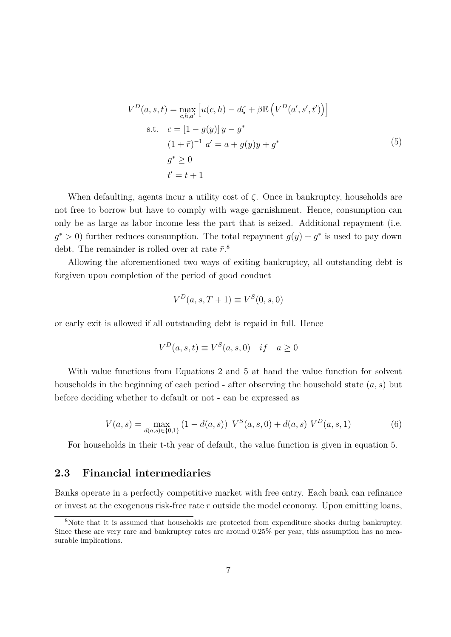$$
V^{D}(a, s, t) = \max_{c, h, a'} [u(c, h) - d\zeta + \beta \mathbb{E} (V^{D}(a', s', t'))]
$$
  
s.t.  $c = [1 - g(y)]y - g^{*}$   
 $(1 + \bar{r})^{-1} a' = a + g(y)y + g^{*}$   
 $g^{*} \ge 0$   
 $t' = t + 1$  (5)

<span id="page-6-1"></span>When defaulting, agents incur a utility cost of  $\zeta$ . Once in bankruptcy, households are not free to borrow but have to comply with wage garnishment. Hence, consumption can only be as large as labor income less the part that is seized. Additional repayment (i.e.  $g^* > 0$ ) further reduces consumption. The total repayment  $g(y) + g^*$  is used to pay down debt. The remainder is rolled over at rate  $\bar{r}^8$  $\bar{r}^8$ .

Allowing the aforementioned two ways of exiting bankruptcy, all outstanding debt is forgiven upon completion of the period of good conduct

$$
V^D(a,s,T+1) \equiv V^S(0,s,0)
$$

or early exit is allowed if all outstanding debt is repaid in full. Hence

$$
V^D(a,s,t) \equiv V^S(a,s,0) \quad if \quad a \ge 0
$$

With value functions from Equations [2](#page-5-0) and [5](#page-6-1) at hand the value function for solvent households in the beginning of each period - after observing the household state (*a, s*) but before deciding whether to default or not - can be expressed as

$$
V(a,s) = \max_{d(a,s) \in \{0,1\}} (1 - d(a,s)) \ V^S(a,s,0) + d(a,s) \ V^D(a,s,1)
$$
 (6)

For households in their t-th year of default, the value function is given in equation [5.](#page-6-1)

### <span id="page-6-0"></span>**2.3 Financial intermediaries**

Banks operate in a perfectly competitive market with free entry. Each bank can refinance or invest at the exogenous risk-free rate *r* outside the model economy. Upon emitting loans,

<sup>8</sup>Note that it is assumed that households are protected from expenditure shocks during bankruptcy. Since these are very rare and bankruptcy rates are around 0*.*25% per year, this assumption has no measurable implications.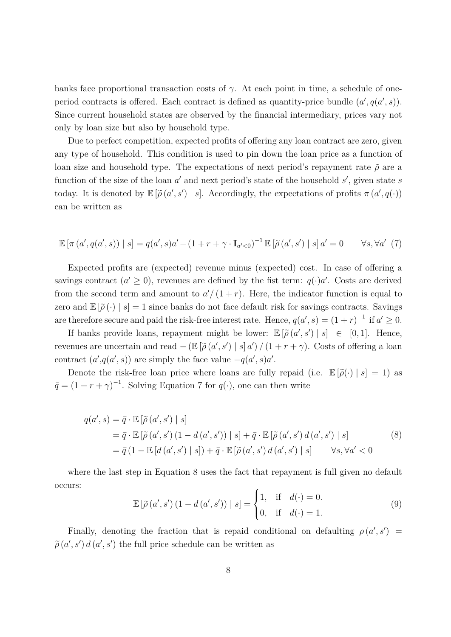banks face proportional transaction costs of  $\gamma$ . At each point in time, a schedule of oneperiod contracts is offered. Each contract is defined as quantity-price bundle  $(a', q(a', s))$ . Since current household states are observed by the financial intermediary, prices vary not only by loan size but also by household type.

Due to perfect competition, expected profits of offering any loan contract are zero, given any type of household. This condition is used to pin down the loan price as a function of loan size and household type. The expectations of next period's repayment rate  $\tilde{\rho}$  are a function of the size of the loan *a'* and next period's state of the household *s'*, given state *s* today. It is denoted by  $\mathbb{E}[\tilde{\rho}(a', s') | s]$ . Accordingly, the expectations of profits  $\pi(a', q(\cdot))$ can be written as

<span id="page-7-0"></span>
$$
\mathbb{E}\left[\pi\left(a',q(a',s)\right) \mid s\right] = q(a',s)a' - (1+r+\gamma \cdot \mathbf{I}_{a'<0})^{-1}\mathbb{E}\left[\tilde{\rho}\left(a',s'\right) \mid s\right]a' = 0 \qquad \forall s,\forall a'\ (7)
$$

Expected profits are (expected) revenue minus (expected) cost. In case of offering a savings contract  $(a' \geq 0)$ , revenues are defined by the fist term:  $q(\cdot)a'$ . Costs are derived from the second term and amount to  $a'/(1+r)$ . Here, the indicator function is equal to zero and  $\mathbb{E}[\tilde{\rho}(\cdot) | s] = 1$  since banks do not face default risk for savings contracts. Savings are therefore secure and paid the risk-free interest rate. Hence,  $q(a', s) = (1 + r)^{-1}$  if  $a' \geq 0$ .

If banks provide loans, repayment might be lower:  $\mathbb{E}[\tilde{\rho}(a', s') | s] \in [0, 1]$ . Hence, revenues are uncertain and read  $-$  ( $\mathbb{E}[\tilde{\rho}(a', s') | s] a'$ )  $/(1 + r + \gamma)$ . Costs of offering a loan contract  $(a', q(a', s))$  are simply the face value  $-q(a', s)a'$ .

Denote the risk-free loan price where loans are fully repaid (i.e.  $\mathbb{E}[\tilde{\rho}(\cdot) | s] = 1$ ) as  $\bar{q} = (1 + r + \gamma)^{-1}$ . Solving Equation [7](#page-7-0) for  $q(\cdot)$ , one can then write

<span id="page-7-1"></span>
$$
q(a', s) = \bar{q} \cdot \mathbb{E} \left[ \tilde{\rho} \left( a', s' \right) \mid s \right]
$$
  
\n
$$
= \bar{q} \cdot \mathbb{E} \left[ \tilde{\rho} \left( a', s' \right) \left( 1 - d \left( a', s' \right) \right) \mid s \right] + \bar{q} \cdot \mathbb{E} \left[ \tilde{\rho} \left( a', s' \right) d \left( a', s' \right) \mid s \right]
$$
  
\n
$$
= \bar{q} \left( 1 - \mathbb{E} \left[ d \left( a', s' \right) \mid s \right] \right) + \bar{q} \cdot \mathbb{E} \left[ \tilde{\rho} \left( a', s' \right) d \left( a', s' \right) \mid s \right] \qquad \forall s, \forall a' < 0
$$
\n(8)

where the last step in Equation [8](#page-7-1) uses the fact that repayment is full given no default occurs:

$$
\mathbb{E}\left[\tilde{\rho}\left(a',s'\right)\left(1-d\left(a',s'\right)\right)|\,s\right] = \begin{cases} 1, & \text{if } d(\cdot) = 0. \\ 0, & \text{if } d(\cdot) = 1. \end{cases} \tag{9}
$$

Finally, denoting the fraction that is repaid conditional on defaulting  $\rho(a', s') =$  $\tilde{\rho}$  (*a'*, *s'*) *d* (*a'*, *s'*) the full price schedule can be written as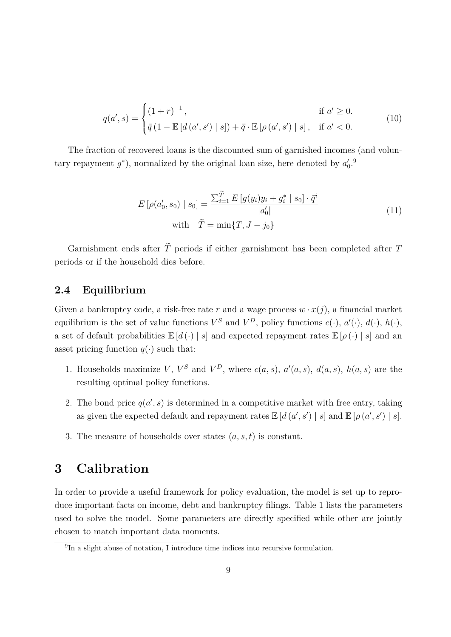$$
q(a', s) = \begin{cases} (1+r)^{-1}, & \text{if } a' \ge 0. \\ \bar{q} (1 - \mathbb{E}[d(a', s') | s]) + \bar{q} \cdot \mathbb{E}[\rho(a', s') | s], & \text{if } a' < 0. \end{cases}
$$
(10)

The fraction of recovered loans is the discounted sum of garnished incomes (and voluntary repayment  $g^*$ ), normalized by the original loan size, here denoted by  $a'_0$ .<sup>[9](#page-0-0)</sup>

$$
E\left[\rho(a'_0, s_0) \mid s_0\right] = \frac{\sum_{i=1}^{\widetilde{T}} E\left[g(y_i)y_i + g_i^* \mid s_0\right] \cdot \bar{q}^i}{|a'_0|}
$$
\nwith  $\tilde{T} = \min\{T, J - j_0\}$  (11)

Garnishment ends after  $\tilde{T}$  periods if either garnishment has been completed after  $T$ periods or if the household dies before.

#### **2.4 Equilibrium**

Given a bankruptcy code, a risk-free rate  $r$  and a wage process  $w \cdot x(j)$ , a financial market equilibrium is the set of value functions  $V^S$  and  $V^D$ , policy functions  $c(\cdot)$ ,  $a'(\cdot)$ ,  $d(\cdot)$ ,  $h(\cdot)$ , a set of default probabilities  $\mathbb{E}[d(\cdot) | s]$  and expected repayment rates  $\mathbb{E}[\rho(\cdot) | s]$  and an asset pricing function  $q(\cdot)$  such that:

- 1. Households maximize *V*,  $V^S$  and  $V^D$ , where  $c(a, s)$ ,  $a'(a, s)$ ,  $d(a, s)$ ,  $h(a, s)$  are the resulting optimal policy functions.
- 2. The bond price  $q(a', s)$  is determined in a competitive market with free entry, taking as given the expected default and repayment rates  $\mathbb{E}\left[d\left(a',s'\right) \mid s\right]$  and  $\mathbb{E}\left[\rho\left(a',s'\right) \mid s\right]$ .
- 3. The measure of households over states (*a, s, t*) is constant.

## <span id="page-8-0"></span>**3 Calibration**

In order to provide a useful framework for policy evaluation, the model is set up to reproduce important facts on income, debt and bankruptcy filings. Table [1](#page-11-0) lists the parameters used to solve the model. Some parameters are directly specified while other are jointly chosen to match important data moments.

<sup>&</sup>lt;sup>9</sup>In a slight abuse of notation, I introduce time indices into recursive formulation.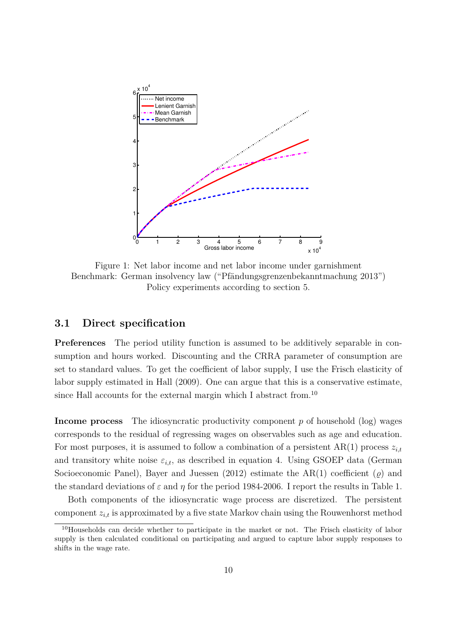<span id="page-9-0"></span>

Figure 1: Net labor income and net labor income under garnishment Benchmark: German insolvency law ("Pfändungsgrenzenbekanntmachung 2013") Policy experiments according to section [5.](#page-17-0)

#### **3.1 Direct specification**

**Preferences** The period utility function is assumed to be additively separable in consumption and hours worked. Discounting and the CRRA parameter of consumption are set to standard values. To get the coefficient of labor supply, I use the Frisch elasticity of labor supply estimated in Hall [\(2009\)](#page-24-8). One can argue that this is a conservative estimate, since Hall accounts for the external margin which I abstract from.<sup>[10](#page-0-0)</sup>

**Income process** The idiosyncratic productivity component *p* of household (log) wages corresponds to the residual of regressing wages on observables such as age and education. For most purposes, it is assumed to follow a combination of a persistent  $AR(1)$  process  $z_{i,t}$ and transitory white noise  $\varepsilon_{i,t}$ , as described in equation [4.](#page-5-1) Using GSOEP data (German Socioeconomic Panel), Bayer and Juessen [\(2012\)](#page-24-9) estimate the  $AR(1)$  coefficient ( $\varrho$ ) and the standard deviations of  $\varepsilon$  and  $\eta$  for the period 1984-2006. I report the results in Table [1.](#page-11-0)

Both components of the idiosyncratic wage process are discretized. The persistent component *zi,t* is approximated by a five state Markov chain using the Rouwenhorst method

<sup>&</sup>lt;sup>10</sup>Households can decide whether to participate in the market or not. The Frisch elasticity of labor supply is then calculated conditional on participating and argued to capture labor supply responses to shifts in the wage rate.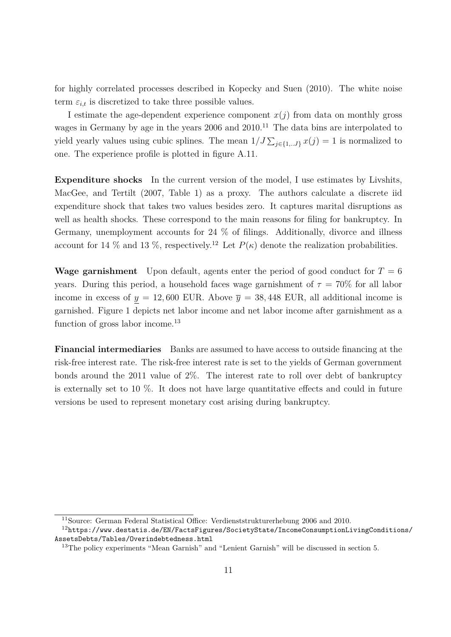for highly correlated processes described in Kopecky and Suen [\(2010\)](#page-24-10). The white noise term  $\varepsilon_{i,t}$  is discretized to take three possible values.

I estimate the age-dependent experience component  $x(j)$  from data on monthly gross wages in Germany by age in the years  $2006$  and  $2010$ .<sup>[11](#page-0-0)</sup> The data bins are interpolated to yield yearly values using cubic splines. The mean  $1/J \sum_{j \in \{1, \ldots J\}} x(j) = 1$  is normalized to one. The experience profile is plotted in figure [A.11.](#page-25-4)

**Expenditure shocks** In the current version of the model, I use estimates by Livshits, MacGee, and Tertilt [\(2007,](#page-25-2) Table 1) as a proxy. The authors calculate a discrete iid expenditure shock that takes two values besides zero. It captures marital disruptions as well as health shocks. These correspond to the main reasons for filing for bankruptcy. In Germany, unemployment accounts for 24 % of filings. Additionally, divorce and illness account for 14 % and 13 %, respectively.<sup>[12](#page-0-0)</sup> Let  $P(\kappa)$  denote the realization probabilities.

**Wage garnishment** Upon default, agents enter the period of good conduct for  $T = 6$ years. During this period, a household faces wage garnishment of  $\tau = 70\%$  for all labor income in excess of  $y = 12,600$  EUR. Above  $\overline{y} = 38,448$  EUR, all additional income is garnished. Figure [1](#page-9-0) depicts net labor income and net labor income after garnishment as a function of gross labor income.<sup>[13](#page-0-0)</sup>

**Financial intermediaries** Banks are assumed to have access to outside financing at the risk-free interest rate. The risk-free interest rate is set to the yields of German government bonds around the 2011 value of 2%. The interest rate to roll over debt of bankruptcy is externally set to  $10\%$ . It does not have large quantitative effects and could in future versions be used to represent monetary cost arising during bankruptcy.

<sup>11</sup>Source: German Federal Statistical Office: Verdienststrukturerhebung 2006 and 2010.

<sup>12</sup>[https://www.destatis.de/EN/FactsFigures/SocietyState/IncomeConsumptionLivingCondition](https://www.destatis.de/EN/FactsFigures/SocietyState/IncomeConsumptionLivingConditions/AssetsDebts/Tables/Overindebtedness.html)s/ [AssetsDebts/Tables/Overindebtedness.html](https://www.destatis.de/EN/FactsFigures/SocietyState/IncomeConsumptionLivingConditions/AssetsDebts/Tables/Overindebtedness.html)

<sup>&</sup>lt;sup>13</sup>The policy experiments "Mean Garnish" and "Lenient Garnish" will be discussed in section [5.](#page-17-0)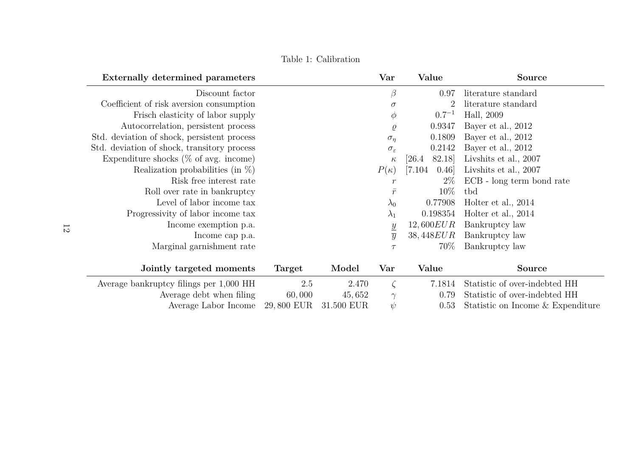Table 1: Calibration

<span id="page-11-0"></span>

| Externally determined parameters            |            |            | Var                      | Value           | <b>Source</b>                     |
|---------------------------------------------|------------|------------|--------------------------|-----------------|-----------------------------------|
| Discount factor                             |            |            | $\beta$                  | 0.97            | literature standard               |
| Coefficient of risk aversion consumption    |            |            | $\sigma$                 |                 | literature standard               |
| Frisch elasticity of labor supply           |            |            | $\phi$                   | $0.7^{-1}$      | Hall, 2009                        |
| Autocorrelation, persistent process         |            |            | $\varrho$                | 0.9347          | Bayer et al., 2012                |
| Std. deviation of shock, persistent process |            |            | $\sigma_{\eta}$          | 0.1809          | Bayer et al., 2012                |
| Std. deviation of shock, transitory process |            |            | $\sigma_{\varepsilon}$   | 0.2142          | Bayer et al., 2012                |
| Expenditure shocks ( $\%$ of avg. income)   |            |            | $\kappa$                 | 82.18<br>[26.4] | Livenits et al., 2007             |
| Realization probabilities (in $\%$ )        |            |            | $P(\kappa)$              | [7.104]<br>0.46 | Livshits et al., 2007             |
| Risk free interest rate                     |            |            | $\boldsymbol{r}$         | $2\%$           | ECB - long term bond rate         |
| Roll over rate in bankruptcy                |            |            | $\bar{r}$                | 10%             | tbd                               |
| Level of labor income tax                   |            |            | $\lambda_0$              | 0.77908         | Holter et al., 2014               |
| Progressivity of labor income tax           |            |            | $\lambda_1$              | 0.198354        | Holter et al., 2014               |
| Income exemption p.a.                       |            |            |                          | 12,600EUR       | Bankruptcy law                    |
| Income cap p.a.                             |            |            | $\frac{y}{\overline{y}}$ | 38,448EUR       | Bankruptcy law                    |
| Marginal garnishment rate                   |            |            | $\tau$                   | 70\%            | Bankruptcy law                    |
|                                             |            |            |                          |                 |                                   |
| Jointly targeted moments                    | Target     | Model      | Var                      | Value           | <b>Source</b>                     |
| Average bankruptcy filings per 1,000 HH     | 2.5        | 2.470      |                          | 7.1814          | Statistic of over-indebted HH     |
| Average debt when filing                    | 60,000     | 45,652     | $\gamma$                 | 0.79            | Statistic of over-indebted HH     |
| Average Labor Income                        | 29,800 EUR | 31.500 EUR | $\psi$                   | 0.53            | Statistic on Income & Expenditure |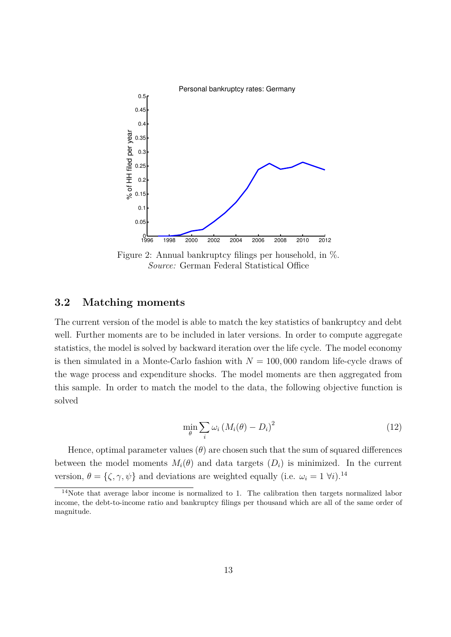<span id="page-12-0"></span>

Figure 2: Annual bankruptcy filings per household, in %. *Source:* German Federal Statistical Office

### **3.2 Matching moments**

The current version of the model is able to match the key statistics of bankruptcy and debt well. Further moments are to be included in later versions. In order to compute aggregate statistics, the model is solved by backward iteration over the life cycle. The model economy is then simulated in a Monte-Carlo fashion with  $N = 100,000$  random life-cycle draws of the wage process and expenditure shocks. The model moments are then aggregated from this sample. In order to match the model to the data, the following objective function is solved

$$
\min_{\theta} \sum_{i} \omega_i \left( M_i(\theta) - D_i \right)^2 \tag{12}
$$

Hence, optimal parameter values  $(\theta)$  are chosen such that the sum of squared differences between the model moments  $M_i(\theta)$  and data targets  $(D_i)$  is minimized. In the current version,  $\theta = \{\zeta, \gamma, \psi\}$  and deviations are weighted equally (i.e.  $\omega_i = 1 \ \forall i$ ).<sup>[14](#page-0-0)</sup>

<sup>&</sup>lt;sup>14</sup>Note that average labor income is normalized to 1. The calibration then targets normalized labor income, the debt-to-income ratio and bankruptcy filings per thousand which are all of the same order of magnitude.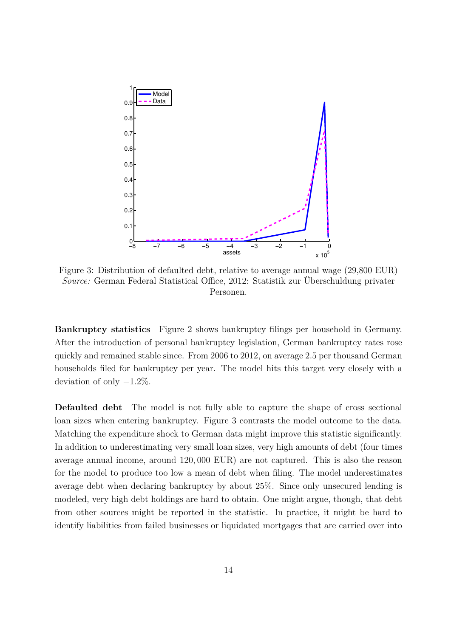<span id="page-13-0"></span>

Figure 3: Distribution of defaulted debt, relative to average annual wage (29,800 EUR) *Source:* German Federal Statistical Office, 2012: Statistik zur Überschuldung privater Personen.

**Bankruptcy statistics** Figure [2](#page-12-0) shows bankruptcy filings per household in Germany. After the introduction of personal bankruptcy legislation, German bankruptcy rates rose quickly and remained stable since. From 2006 to 2012, on average 2*.*5 per thousand German households filed for bankruptcy per year. The model hits this target very closely with a deviation of only −1*.*2%.

**Defaulted debt** The model is not fully able to capture the shape of cross sectional loan sizes when entering bankruptcy. Figure [3](#page-13-0) contrasts the model outcome to the data. Matching the expenditure shock to German data might improve this statistic significantly. In addition to underestimating very small loan sizes, very high amounts of debt (four times average annual income, around 120*,* 000 EUR) are not captured. This is also the reason for the model to produce too low a mean of debt when filing. The model underestimates average debt when declaring bankruptcy by about 25%. Since only unsecured lending is modeled, very high debt holdings are hard to obtain. One might argue, though, that debt from other sources might be reported in the statistic. In practice, it might be hard to identify liabilities from failed businesses or liquidated mortgages that are carried over into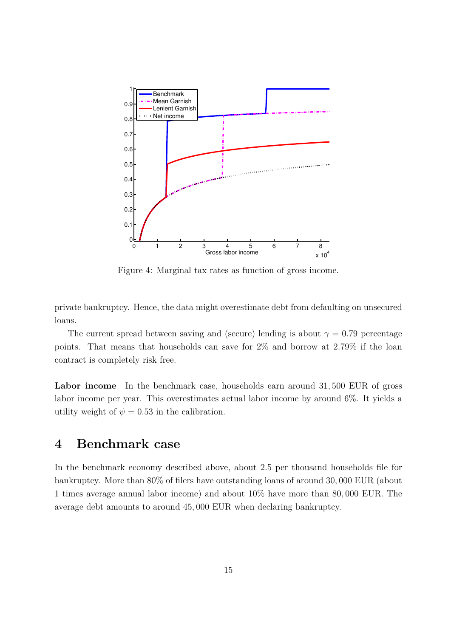<span id="page-14-1"></span>

Figure 4: Marginal tax rates as function of gross income.

private bankruptcy. Hence, the data might overestimate debt from defaulting on unsecured loans.

The current spread between saving and (secure) lending is about  $\gamma = 0.79$  percentage points. That means that households can save for 2% and borrow at 2*.*79% if the loan contract is completely risk free.

**Labor income** In the benchmark case, households earn around 31*,* 500 EUR of gross labor income per year. This overestimates actual labor income by around 6%. It yields a utility weight of  $\psi = 0.53$  in the calibration.

### <span id="page-14-0"></span>**4 Benchmark case**

In the benchmark economy described above, about 2*.*5 per thousand households file for bankruptcy. More than 80% of filers have outstanding loans of around 30*,* 000 EUR (about 1 times average annual labor income) and about 10% have more than 80*,* 000 EUR. The average debt amounts to around 45*,* 000 EUR when declaring bankruptcy.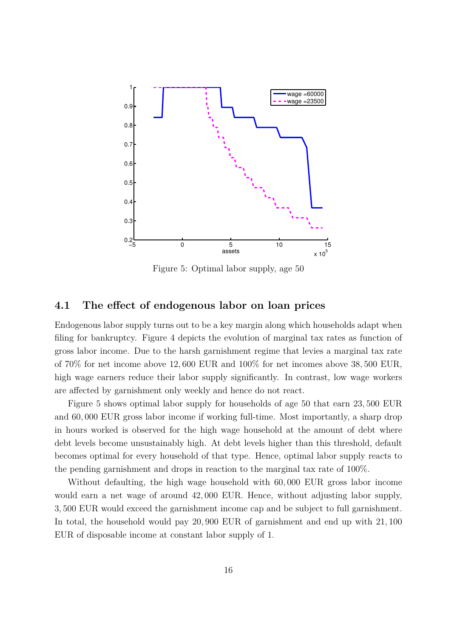<span id="page-15-0"></span>

Figure 5: Optimal labor supply, age 50

#### <span id="page-15-1"></span>**4.1 The effect of endogenous labor on loan prices**

Endogenous labor supply turns out to be a key margin along which households adapt when filing for bankruptcy. Figure [4](#page-14-1) depicts the evolution of marginal tax rates as function of gross labor income. Due to the harsh garnishment regime that levies a marginal tax rate of 70% for net income above 12*,* 600 EUR and 100% for net incomes above 38*,* 500 EUR, high wage earners reduce their labor supply significantly. In contrast, low wage workers are affected by garnishment only weekly and hence do not react.

Figure [5](#page-15-0) shows optimal labor supply for households of age 50 that earn 23*,* 500 EUR and 60*,* 000 EUR gross labor income if working full-time. Most importantly, a sharp drop in hours worked is observed for the high wage household at the amount of debt where debt levels become unsustainably high. At debt levels higher than this threshold, default becomes optimal for every household of that type. Hence, optimal labor supply reacts to the pending garnishment and drops in reaction to the marginal tax rate of 100%.

Without defaulting, the high wage household with 60*,* 000 EUR gross labor income would earn a net wage of around 42*,* 000 EUR. Hence, without adjusting labor supply, 3*,* 500 EUR would exceed the garnishment income cap and be subject to full garnishment. In total, the household would pay 20*,* 900 EUR of garnishment and end up with 21*,* 100 EUR of disposable income at constant labor supply of 1.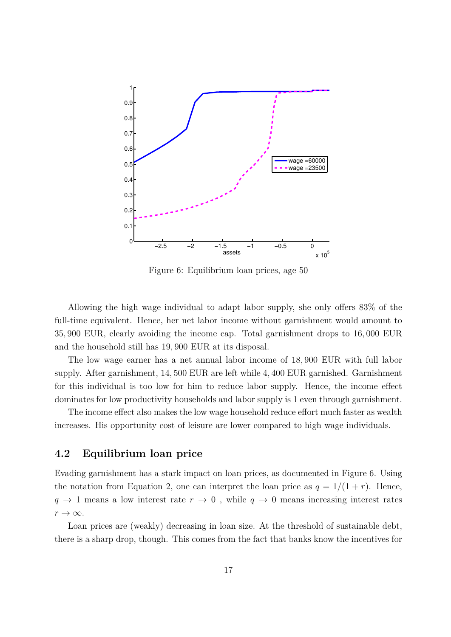<span id="page-16-0"></span>

Figure 6: Equilibrium loan prices, age 50

Allowing the high wage individual to adapt labor supply, she only offers 83% of the full-time equivalent. Hence, her net labor income without garnishment would amount to 35*,* 900 EUR, clearly avoiding the income cap. Total garnishment drops to 16*,* 000 EUR and the household still has 19*,* 900 EUR at its disposal.

The low wage earner has a net annual labor income of 18*,* 900 EUR with full labor supply. After garnishment, 14*,* 500 EUR are left while 4*,* 400 EUR garnished. Garnishment for this individual is too low for him to reduce labor supply. Hence, the income effect dominates for low productivity households and labor supply is 1 even through garnishment.

The income effect also makes the low wage household reduce effort much faster as wealth increases. His opportunity cost of leisure are lower compared to high wage individuals.

#### **4.2 Equilibrium loan price**

Evading garnishment has a stark impact on loan prices, as documented in Figure [6.](#page-16-0) Using the notation from Equation [2,](#page-5-0) one can interpret the loan price as  $q = 1/(1 + r)$ . Hence,  $q \to 1$  means a low interest rate  $r \to 0$ , while  $q \to 0$  means increasing interest rates  $r \rightarrow \infty$ .

Loan prices are (weakly) decreasing in loan size. At the threshold of sustainable debt, there is a sharp drop, though. This comes from the fact that banks know the incentives for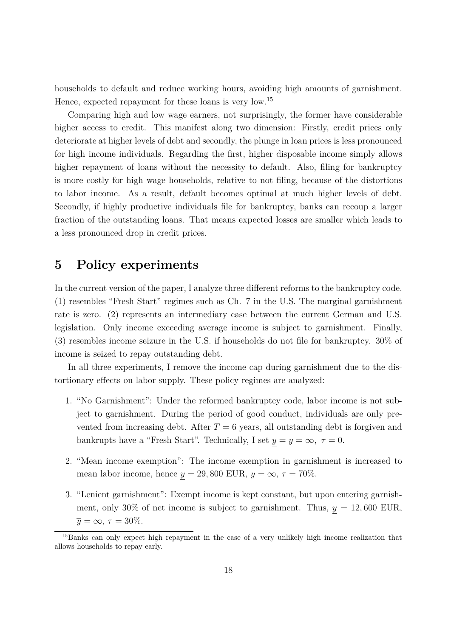households to default and reduce working hours, avoiding high amounts of garnishment. Hence, expected repayment for these loans is very low.[15](#page-0-0)

Comparing high and low wage earners, not surprisingly, the former have considerable higher access to credit. This manifest along two dimension: Firstly, credit prices only deteriorate at higher levels of debt and secondly, the plunge in loan prices is less pronounced for high income individuals. Regarding the first, higher disposable income simply allows higher repayment of loans without the necessity to default. Also, filing for bankruptcy is more costly for high wage households, relative to not filing, because of the distortions to labor income. As a result, default becomes optimal at much higher levels of debt. Secondly, if highly productive individuals file for bankruptcy, banks can recoup a larger fraction of the outstanding loans. That means expected losses are smaller which leads to a less pronounced drop in credit prices.

### <span id="page-17-0"></span>**5 Policy experiments**

In the current version of the paper, I analyze three different reforms to the bankruptcy code. [\(1\)](#page-17-1) resembles "Fresh Start" regimes such as Ch. 7 in the U.S. The marginal garnishment rate is zero. [\(2\)](#page-17-2) represents an intermediary case between the current German and U.S. legislation. Only income exceeding average income is subject to garnishment. Finally, [\(3\)](#page-17-3) resembles income seizure in the U.S. if households do not file for bankruptcy. 30% of income is seized to repay outstanding debt.

In all three experiments, I remove the income cap during garnishment due to the distortionary effects on labor supply. These policy regimes are analyzed:

- <span id="page-17-1"></span>1. "No Garnishment": Under the reformed bankruptcy code, labor income is not subject to garnishment. During the period of good conduct, individuals are only prevented from increasing debt. After  $T = 6$  years, all outstanding debt is forgiven and bankrupts have a "Fresh Start". Technically, I set  $y = \overline{y} = \infty$ ,  $\tau = 0$ .
- <span id="page-17-2"></span>2. "Mean income exemption": The income exemption in garnishment is increased to mean labor income, hence  $y = 29,800$  EUR,  $\overline{y} = \infty$ ,  $\tau = 70\%$ .
- <span id="page-17-3"></span>3. "Lenient garnishment": Exempt income is kept constant, but upon entering garnishment, only 30% of net income is subject to garnishment. Thus,  $y = 12,600$  EUR,  $\overline{y} = \infty$ ,  $\tau = 30\%.$

<sup>15</sup>Banks can only expect high repayment in the case of a very unlikely high income realization that allows households to repay early.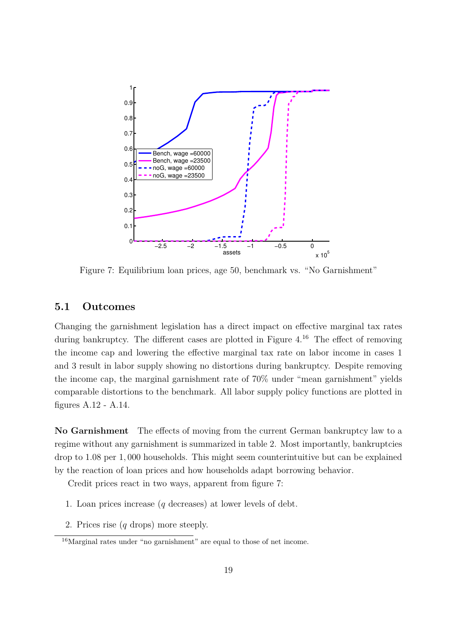<span id="page-18-0"></span>

Figure 7: Equilibrium loan prices, age 50, benchmark vs. "No Garnishment"

#### **5.1 Outcomes**

Changing the garnishment legislation has a direct impact on effective marginal tax rates during bankruptcy. The different cases are plotted in Figure [4.](#page-14-1)<sup>[16](#page-0-0)</sup> The effect of removing the income cap and lowering the effective marginal tax rate on labor income in cases [1](#page-17-1) and [3](#page-17-3) result in labor supply showing no distortions during bankruptcy. Despite removing the income cap, the marginal garnishment rate of 70% under "mean garnishment" yields comparable distortions to the benchmark. All labor supply policy functions are plotted in figures [A.12](#page-26-0) - [A.14.](#page-27-0)

<span id="page-18-3"></span>**No Garnishment** The effects of moving from the current German bankruptcy law to a regime without any garnishment is summarized in table [2.](#page-19-0) Most importantly, bankruptcies drop to 1*.*08 per 1*,* 000 households. This might seem counterintuitive but can be explained by the reaction of loan prices and how households adapt borrowing behavior.

Credit prices react in two ways, apparent from figure [7:](#page-18-0)

- <span id="page-18-1"></span>1. Loan prices increase (*q* decreases) at lower levels of debt.
- <span id="page-18-2"></span>2. Prices rise (*q* drops) more steeply.

<sup>16</sup>Marginal rates under "no garnishment" are equal to those of net income.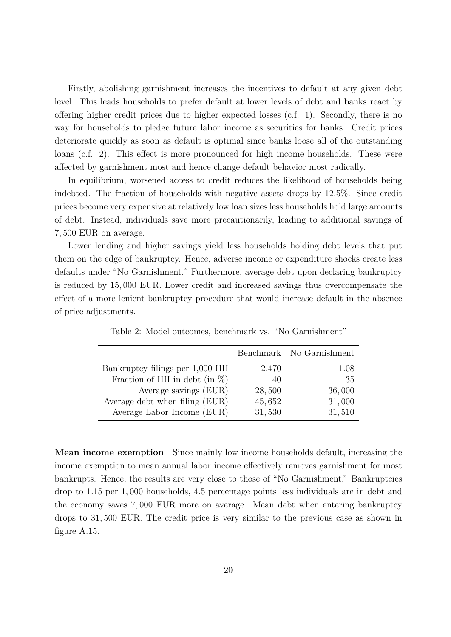Firstly, abolishing garnishment increases the incentives to default at any given debt level. This leads households to prefer default at lower levels of debt and banks react by offering higher credit prices due to higher expected losses (c.f. [1\)](#page-18-1). Secondly, there is no way for households to pledge future labor income as securities for banks. Credit prices deteriorate quickly as soon as default is optimal since banks loose all of the outstanding loans (c.f. [2\)](#page-18-2). This effect is more pronounced for high income households. These were affected by garnishment most and hence change default behavior most radically.

In equilibrium, worsened access to credit reduces the likelihood of households being indebted. The fraction of households with negative assets drops by 12*.*5%. Since credit prices become very expensive at relatively low loan sizes less households hold large amounts of debt. Instead, individuals save more precautionarily, leading to additional savings of 7*,* 500 EUR on average.

Lower lending and higher savings yield less households holding debt levels that put them on the edge of bankruptcy. Hence, adverse income or expenditure shocks create less defaults under "No Garnishment." Furthermore, average debt upon declaring bankruptcy is reduced by 15*,* 000 EUR. Lower credit and increased savings thus overcompensate the effect of a more lenient bankruptcy procedure that would increase default in the absence of price adjustments.

<span id="page-19-0"></span>

|                                   |        | Benchmark No Garnishment |
|-----------------------------------|--------|--------------------------|
| Bankruptcy filings per 1,000 HH   | 2.470  | 1.08                     |
| Fraction of HH in debt (in $\%$ ) | 40     | 35                       |
| Average savings (EUR)             | 28,500 | 36,000                   |
| Average debt when filing (EUR)    | 45,652 | 31,000                   |
| Average Labor Income (EUR)        | 31,530 | 31,510                   |

Table 2: Model outcomes, benchmark vs. "No Garnishment"

**Mean income exemption** Since mainly low income households default, increasing the income exemption to mean annual labor income effectively removes garnishment for most bankrupts. Hence, the results are very close to those of "No Garnishment." Bankruptcies drop to 1*.*15 per 1*,* 000 households, 4*.*5 percentage points less individuals are in debt and the economy saves 7*,* 000 EUR more on average. Mean debt when entering bankruptcy drops to 31*,* 500 EUR. The credit price is very similar to the previous case as shown in figure [A.15.](#page-27-1)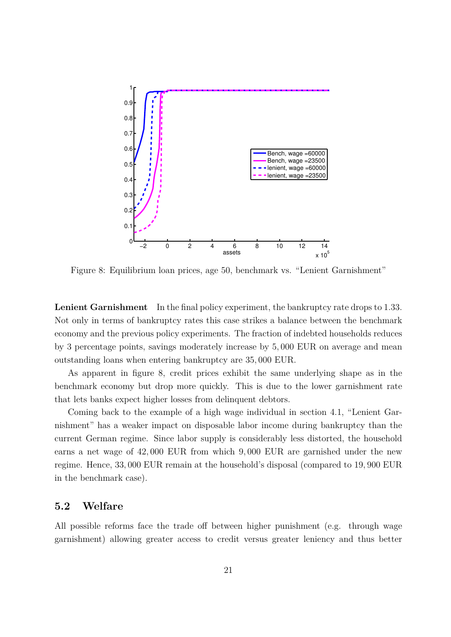<span id="page-20-0"></span>

Figure 8: Equilibrium loan prices, age 50, benchmark vs. "Lenient Garnishment"

**Lenient Garnishment** In the final policy experiment, the bankruptcy rate drops to 1*.*33. Not only in terms of bankruptcy rates this case strikes a balance between the benchmark economy and the previous policy experiments. The fraction of indebted households reduces by 3 percentage points, savings moderately increase by 5*,* 000 EUR on average and mean outstanding loans when entering bankruptcy are 35*,* 000 EUR.

As apparent in figure [8,](#page-20-0) credit prices exhibit the same underlying shape as in the benchmark economy but drop more quickly. This is due to the lower garnishment rate that lets banks expect higher losses from delinquent debtors.

Coming back to the example of a high wage individual in section [4.1,](#page-15-1) "Lenient Garnishment" has a weaker impact on disposable labor income during bankruptcy than the current German regime. Since labor supply is considerably less distorted, the household earns a net wage of 42*,* 000 EUR from which 9*,* 000 EUR are garnished under the new regime. Hence, 33*,* 000 EUR remain at the household's disposal (compared to 19*,* 900 EUR in the benchmark case).

#### **5.2 Welfare**

All possible reforms face the trade off between higher punishment (e.g. through wage garnishment) allowing greater access to credit versus greater leniency and thus better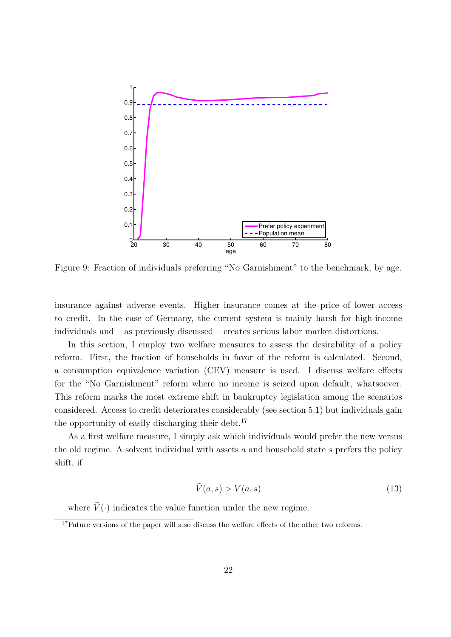<span id="page-21-0"></span>

Figure 9: Fraction of individuals preferring "No Garnishment" to the benchmark, by age.

insurance against adverse events. Higher insurance comes at the price of lower access to credit. In the case of Germany, the current system is mainly harsh for high-income individuals and – as previously discussed – creates serious labor market distortions.

In this section, I employ two welfare measures to assess the desirability of a policy reform. First, the fraction of households in favor of the reform is calculated. Second, a consumption equivalence variation (CEV) measure is used. I discuss welfare effects for the "No Garnishment" reform where no income is seized upon default, whatsoever. This reform marks the most extreme shift in bankruptcy legislation among the scenarios considered. Access to credit deteriorates considerably (see section [5.1\)](#page-18-3) but individuals gain the opportunity of easily discharging their debt.<sup>[17](#page-0-0)</sup>

As a first welfare measure, I simply ask which individuals would prefer the new versus the old regime. A solvent individual with assets *a* and household state *s* prefers the policy shift, if

$$
\tilde{V}(a,s) > V(a,s) \tag{13}
$$

where  $\tilde{V}(\cdot)$  indicates the value function under the new regime.

<sup>&</sup>lt;sup>17</sup>Future versions of the paper will also discuss the welfare effects of the other two reforms.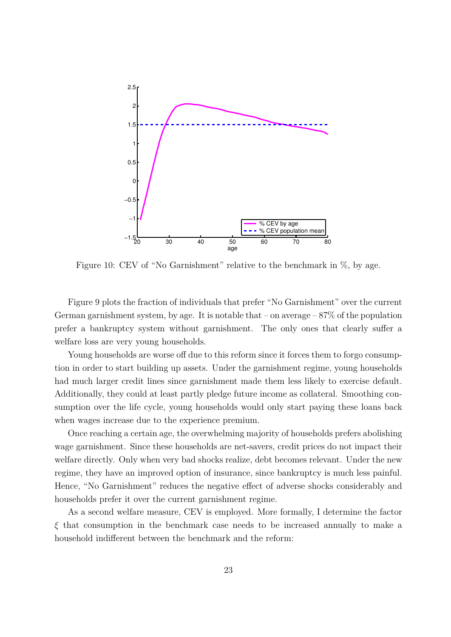<span id="page-22-0"></span>

Figure 10: CEV of "No Garnishment" relative to the benchmark in  $\%$ , by age.

Figure [9](#page-21-0) plots the fraction of individuals that prefer "No Garnishment" over the current German garnishment system, by age. It is notable that – on average  $-87\%$  of the population prefer a bankruptcy system without garnishment. The only ones that clearly suffer a welfare loss are very young households.

Young households are worse off due to this reform since it forces them to forgo consumption in order to start building up assets. Under the garnishment regime, young households had much larger credit lines since garnishment made them less likely to exercise default. Additionally, they could at least partly pledge future income as collateral. Smoothing consumption over the life cycle, young households would only start paying these loans back when wages increase due to the experience premium.

Once reaching a certain age, the overwhelming majority of households prefers abolishing wage garnishment. Since these households are net-savers, credit prices do not impact their welfare directly. Only when very bad shocks realize, debt becomes relevant. Under the new regime, they have an improved option of insurance, since bankruptcy is much less painful. Hence, "No Garnishment" reduces the negative effect of adverse shocks considerably and households prefer it over the current garnishment regime.

As a second welfare measure, CEV is employed. More formally, I determine the factor *ξ* that consumption in the benchmark case needs to be increased annually to make a household indifferent between the benchmark and the reform: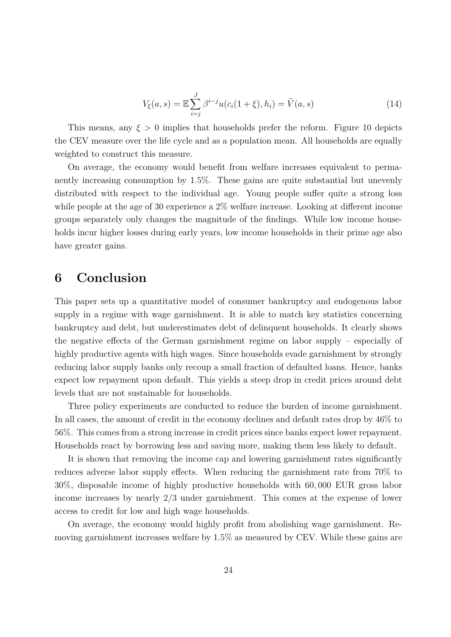$$
V_{\xi}(a,s) = \mathbb{E}\sum_{i=j}^{J} \beta^{i-j} u(c_i(1+\xi), h_i) = \tilde{V}(a,s)
$$
\n(14)

This means, any  $\xi > 0$  implies that households prefer the reform. Figure [10](#page-22-0) depicts the CEV measure over the life cycle and as a population mean. All households are equally weighted to construct this measure.

On average, the economy would benefit from welfare increases equivalent to permanently increasing consumption by 1*.*5%. These gains are quite substantial but unevenly distributed with respect to the individual age. Young people suffer quite a strong loss while people at the age of 30 experience a 2% welfare increase. Looking at different income groups separately only changes the magnitude of the findings. While low income households incur higher losses during early years, low income households in their prime age also have greater gains.

### <span id="page-23-0"></span>**6 Conclusion**

This paper sets up a quantitative model of consumer bankruptcy and endogenous labor supply in a regime with wage garnishment. It is able to match key statistics concerning bankruptcy and debt, but underestimates debt of delinquent households. It clearly shows the negative effects of the German garnishment regime on labor supply – especially of highly productive agents with high wages. Since households evade garnishment by strongly reducing labor supply banks only recoup a small fraction of defaulted loans. Hence, banks expect low repayment upon default. This yields a steep drop in credit prices around debt levels that are not sustainable for households.

Three policy experiments are conducted to reduce the burden of income garnishment. In all cases, the amount of credit in the economy declines and default rates drop by 46% to 56%. This comes from a strong increase in credit prices since banks expect lower repayment. Households react by borrowing less and saving more, making them less likely to default.

It is shown that removing the income cap and lowering garnishment rates significantly reduces adverse labor supply effects. When reducing the garnishment rate from 70% to 30%, disposable income of highly productive households with 60*,* 000 EUR gross labor income increases by nearly 2*/*3 under garnishment. This comes at the expense of lower access to credit for low and high wage households.

On average, the economy would highly profit from abolishing wage garnishment. Removing garnishment increases welfare by 1*.*5% as measured by CEV. While these gains are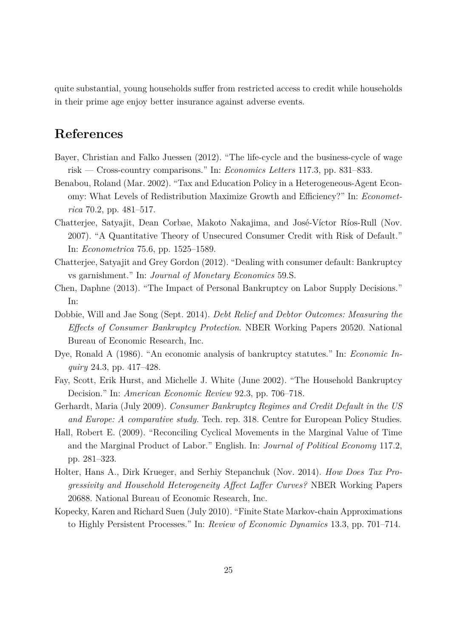<span id="page-24-13"></span><span id="page-24-12"></span><span id="page-24-11"></span>quite substantial, young households suffer from restricted access to credit while households in their prime age enjoy better insurance against adverse events.

## **References**

- <span id="page-24-9"></span>Bayer, Christian and Falko Juessen (2012). "The life-cycle and the business-cycle of wage risk — Cross-country comparisons." In: *Economics Letters* 117.3, pp. 831–833.
- <span id="page-24-7"></span>Benabou, Roland (Mar. 2002). "Tax and Education Policy in a Heterogeneous-Agent Economy: What Levels of Redistribution Maximize Growth and Efficiency?" In: *Econometrica* 70.2, pp. 481–517.
- <span id="page-24-1"></span>Chatterjee, Satyajit, Dean Corbae, Makoto Nakajima, and José-Víctor Ríos-Rull (Nov. 2007). "A Quantitative Theory of Unsecured Consumer Credit with Risk of Default." In: *Econometrica* 75.6, pp. 1525–1589.
- <span id="page-24-3"></span>Chatterjee, Satyajit and Grey Gordon (2012). "Dealing with consumer default: Bankruptcy vs garnishment." In: *Journal of Monetary Economics* 59.S.
- <span id="page-24-6"></span>Chen, Daphne (2013). "The Impact of Personal Bankruptcy on Labor Supply Decisions." In:
- <span id="page-24-5"></span>Dobbie, Will and Jae Song (Sept. 2014). *Debt Relief and Debtor Outcomes: Measuring the Effects of Consumer Bankruptcy Protection*. NBER Working Papers 20520. National Bureau of Economic Research, Inc.
- <span id="page-24-0"></span>Dye, Ronald A (1986). "An economic analysis of bankruptcy statutes." In: *Economic Inquiry* 24.3, pp. 417–428.
- <span id="page-24-4"></span>Fay, Scott, Erik Hurst, and Michelle J. White (June 2002). "The Household Bankruptcy Decision." In: *American Economic Review* 92.3, pp. 706–718.
- <span id="page-24-2"></span>Gerhardt, Maria (July 2009). *Consumer Bankruptcy Regimes and Credit Default in the US and Europe: A comparative study.* Tech. rep. 318. Centre for European Policy Studies.
- <span id="page-24-8"></span>Hall, Robert E. (2009). "Reconciling Cyclical Movements in the Marginal Value of Time and the Marginal Product of Labor." English. In: *Journal of Political Economy* 117.2, pp. 281–323.
- Holter, Hans A., Dirk Krueger, and Serhiy Stepanchuk (Nov. 2014). *How Does Tax Progressivity and Household Heterogeneity Affect Laffer Curves?* NBER Working Papers 20688. National Bureau of Economic Research, Inc.
- <span id="page-24-10"></span>Kopecky, Karen and Richard Suen (July 2010). "Finite State Markov-chain Approximations to Highly Persistent Processes." In: *Review of Economic Dynamics* 13.3, pp. 701–714.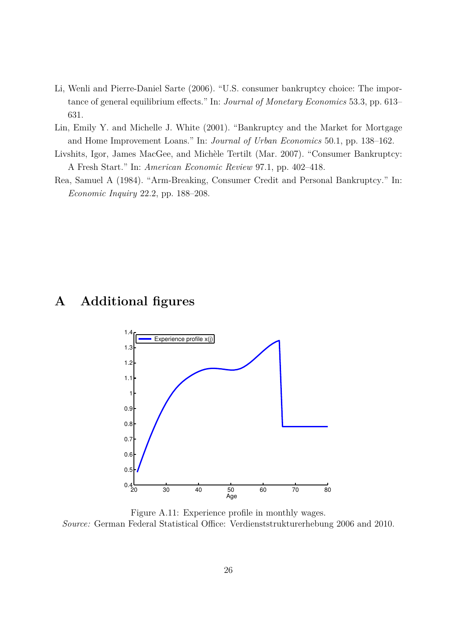- <span id="page-25-5"></span><span id="page-25-3"></span>Li, Wenli and Pierre-Daniel Sarte (2006). "U.S. consumer bankruptcy choice: The importance of general equilibrium effects." In: *Journal of Monetary Economics* 53.3, pp. 613– 631.
- <span id="page-25-1"></span>Lin, Emily Y. and Michelle J. White (2001). "Bankruptcy and the Market for Mortgage and Home Improvement Loans." In: *Journal of Urban Economics* 50.1, pp. 138–162.
- <span id="page-25-2"></span>Livshits, Igor, James MacGee, and Michèle Tertilt (Mar. 2007). "Consumer Bankruptcy: A Fresh Start." In: *American Economic Review* 97.1, pp. 402–418.
- <span id="page-25-0"></span>Rea, Samuel A (1984). "Arm-Breaking, Consumer Credit and Personal Bankruptcy." In: *Economic Inquiry* 22.2, pp. 188–208.

### <span id="page-25-4"></span>**A Additional figures**



Figure A.11: Experience profile in monthly wages.

*Source:* German Federal Statistical Office: Verdienststrukturerhebung 2006 and 2010.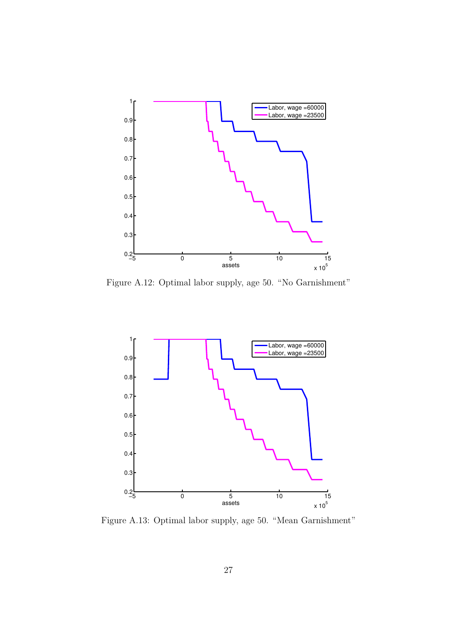<span id="page-26-0"></span>

Figure A.12: Optimal labor supply, age 50. "No Garnishment"



Figure A.13: Optimal labor supply, age 50. "Mean Garnishment"